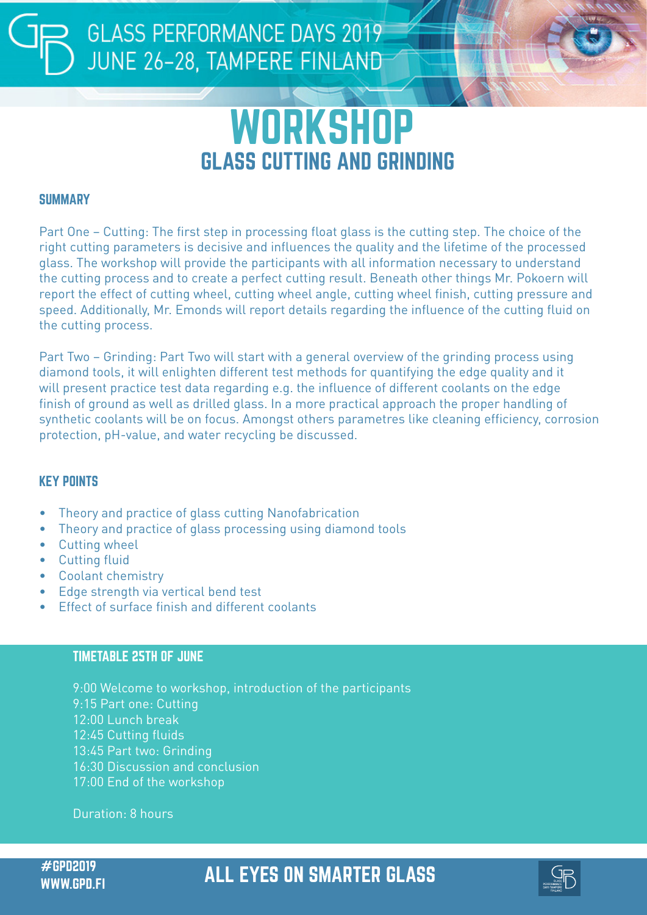## **GLASS PERFORMANCE DAYS 2019** JUNE 26-28, TAMPERE FINLAND

# **WORKSHOP** GLASS CUTTING AND GRINDING

#### **SUMMARY**

Part One – Cutting: The first step in processing float glass is the cutting step. The choice of the right cutting parameters is decisive and influences the quality and the lifetime of the processed glass. The workshop will provide the participants with all information necessary to understand the cutting process and to create a perfect cutting result. Beneath other things Mr. Pokoern will report the effect of cutting wheel, cutting wheel angle, cutting wheel finish, cutting pressure and speed. Additionally, Mr. Emonds will report details regarding the influence of the cutting fluid on the cutting process.

Part Two – Grinding: Part Two will start with a general overview of the grinding process using diamond tools, it will enlighten different test methods for quantifying the edge quality and it will present practice test data regarding e.g. the influence of different coolants on the edge finish of ground as well as drilled glass. In a more practical approach the proper handling of synthetic coolants will be on focus. Amongst others parametres like cleaning efficiency, corrosion protection, pH-value, and water recycling be discussed.

#### KEY POINTS

- Theory and practice of glass cutting Nanofabrication
- Theory and practice of glass processing using diamond tools
- Cutting wheel
- Cutting fluid
- Coolant chemistry
- Edge strength via vertical bend test
- Effect of surface finish and different coolants

#### TIMETABLE 25TH OF JUNE

9:00 Welcome to workshop, introduction of the participants 9:15 Part one: Cutting 12:00 Lunch break 12:45 Cutting fluids 13:45 Part two: Grinding 16:30 Discussion and conclusion 17:00 End of the workshop

Duration: 8 hours

### #GPD2019 ALL EYES ON SMARTER GLASS